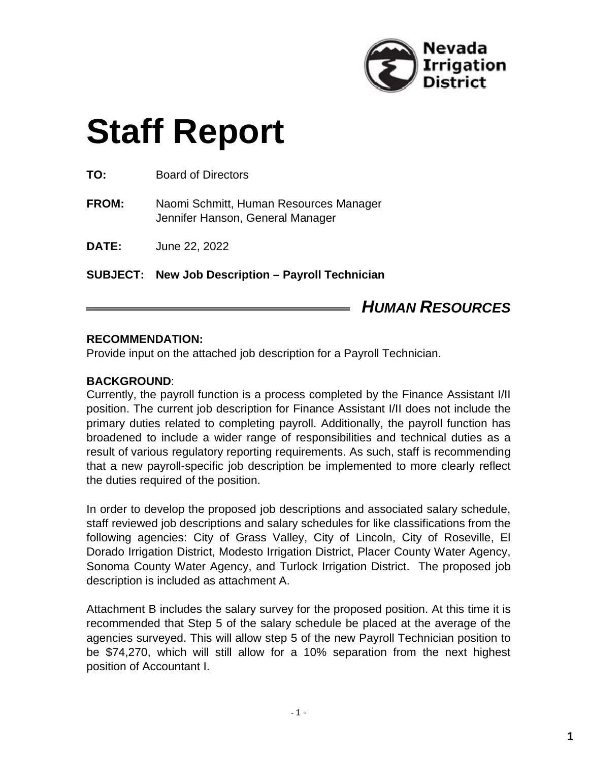

# **Staff Report**

**TO:** Board of Directors

**FROM:** Naomi Schmitt, Human Resources Manager Jennifer Hanson, General Manager

**DATE:** June 22, 2022

**SUBJECT: New Job Description – Payroll Technician**

# *HUMAN RESOURCES*

#### **RECOMMENDATION:**

Provide input on the attached job description for a Payroll Technician.

#### **BACKGROUND**:

Currently, the payroll function is a process completed by the Finance Assistant I/II position. The current job description for Finance Assistant I/II does not include the primary duties related to completing payroll. Additionally, the payroll function has broadened to include a wider range of responsibilities and technical duties as a result of various regulatory reporting requirements. As such, staff is recommending that a new payroll-specific job description be implemented to more clearly reflect the duties required of the position.

In order to develop the proposed job descriptions and associated salary schedule, staff reviewed job descriptions and salary schedules for like classifications from the following agencies: City of Grass Valley, City of Lincoln, City of Roseville, El Dorado Irrigation District, Modesto Irrigation District, Placer County Water Agency, Sonoma County Water Agency, and Turlock Irrigation District. The proposed job description is included as attachment A.

Attachment B includes the salary survey for the proposed position. At this time it is recommended that Step 5 of the salary schedule be placed at the average of the agencies surveyed. This will allow step 5 of the new Payroll Technician position to be \$74,270, which will still allow for a 10% separation from the next highest position of Accountant I.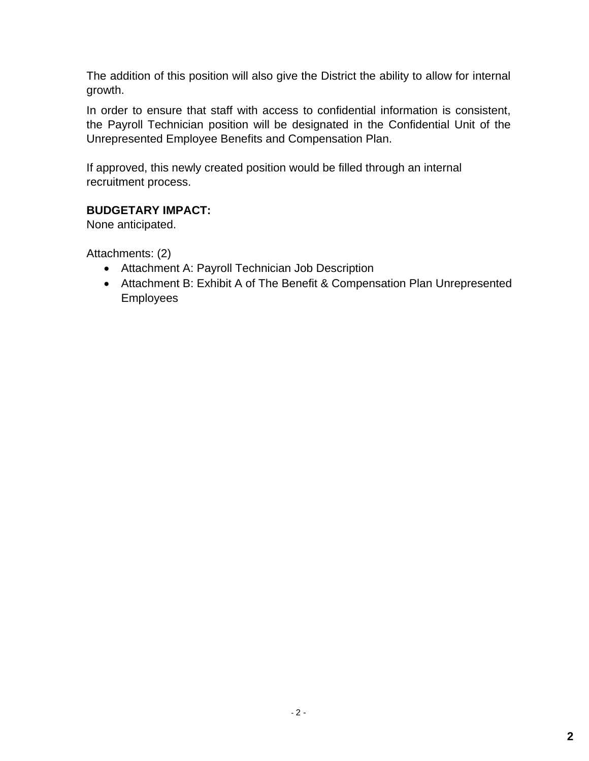The addition of this position will also give the District the ability to allow for internal growth.

In order to ensure that staff with access to confidential information is consistent, the Payroll Technician position will be designated in the Confidential Unit of the Unrepresented Employee Benefits and Compensation Plan.

If approved, this newly created position would be filled through an internal recruitment process.

# **BUDGETARY IMPACT:**

None anticipated.

Attachments: (2)

- Attachment A: Payroll Technician Job Description
- Attachment B: Exhibit A of The Benefit & Compensation Plan Unrepresented Employees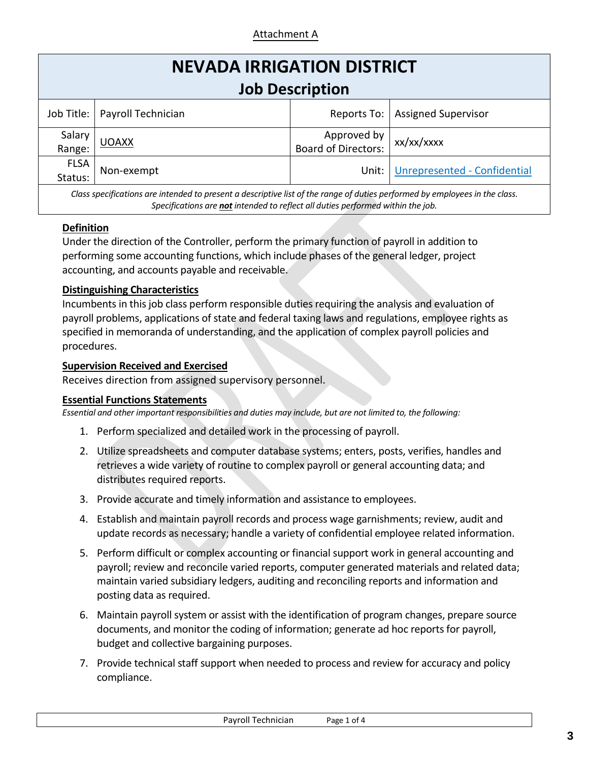### Attachment A

| <b>NEVADA IRRIGATION DISTRICT</b><br><b>Job Description</b> |                                 |                                    |                              |  |  |  |  |
|-------------------------------------------------------------|---------------------------------|------------------------------------|------------------------------|--|--|--|--|
|                                                             | Job Title:   Payroll Technician | Reports To:                        | <b>Assigned Supervisor</b>   |  |  |  |  |
| Salary<br>Range:                                            | <b>UOAXX</b>                    | Approved by<br>Board of Directors: | xx/xx/xxxx                   |  |  |  |  |
| <b>FLSA</b><br>Status:                                      | Non-exempt                      | Unit:                              | Unrepresented - Confidential |  |  |  |  |

*Class specifications are intended to present a descriptive list of the range of duties performed by employees in the class. Specifications are not intended to reflect all duties performed within the job.*

#### **Definition**

Under the direction of the Controller, perform the primary function of payroll in addition to performing some accounting functions, which include phases of the general ledger, project accounting, and accounts payable and receivable.

#### **Distinguishing Characteristics**

Incumbents in this job class perform responsible duties requiring the analysis and evaluation of payroll problems, applications of state and federal taxing laws and regulations, employee rights as specified in memoranda of understanding, and the application of complex payroll policies and procedures.

#### **Supervision Received and Exercised**

Receives direction from assigned supervisory personnel.

#### **Essential Functions Statements**

*Essential and other important responsibilities and duties may include, but are not limited to, the following:*

- 1. Perform specialized and detailed work in the processing of payroll.
- 2. Utilize spreadsheets and computer database systems; enters, posts, verifies, handles and retrieves a wide variety of routine to complex payroll or general accounting data; and distributes required reports.
- 3. Provide accurate and timely information and assistance to employees.
- 4. Establish and maintain payroll records and process wage garnishments; review, audit and update records as necessary; handle a variety of confidential employee related information.
- 5. Perform difficult or complex accounting or financial support work in general accounting and payroll; review and reconcile varied reports, computer generated materials and related data; maintain varied subsidiary ledgers, auditing and reconciling reports and information and posting data as required.
- 6. Maintain payroll system or assist with the identification of program changes, prepare source documents, and monitor the coding of information; generate ad hoc reports for payroll, budget and collective bargaining purposes.
- 7. Provide technical staff support when needed to process and review for accuracy and policy compliance.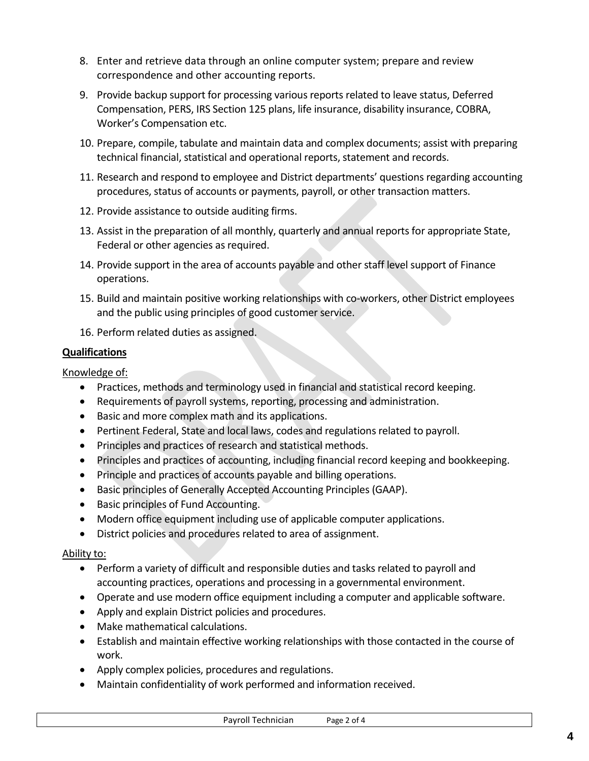- 8. Enter and retrieve data through an online computer system; prepare and review correspondence and other accounting reports.
- 9. Provide backup support for processing various reports related to leave status, Deferred Compensation, PERS, IRS Section 125 plans, life insurance, disability insurance, COBRA, Worker's Compensation etc.
- 10. Prepare, compile, tabulate and maintain data and complex documents; assist with preparing technical financial, statistical and operational reports, statement and records.
- 11. Research and respond to employee and District departments' questions regarding accounting procedures, status of accounts or payments, payroll, or other transaction matters.
- 12. Provide assistance to outside auditing firms.
- 13. Assist in the preparation of all monthly, quarterly and annual reports for appropriate State, Federal or other agencies as required.
- 14. Provide support in the area of accounts payable and other staff level support of Finance operations.
- 15. Build and maintain positive working relationships with co-workers, other District employees and the public using principles of good customer service.
- 16. Perform related duties as assigned.

### **Qualifications**

Knowledge of:

- Practices, methods and terminology used in financial and statistical record keeping.
- Requirements of payroll systems, reporting, processing and administration.
- Basic and more complex math and its applications.
- Pertinent Federal, State and local laws, codes and regulations related to payroll.
- Principles and practices of research and statistical methods.
- Principles and practices of accounting, including financial record keeping and bookkeeping.
- Principle and practices of accounts payable and billing operations.
- Basic principles of Generally Accepted Accounting Principles (GAAP).
- Basic principles of Fund Accounting.
- Modern office equipment including use of applicable computer applications.
- District policies and procedures related to area of assignment.

## Ability to:

- Perform a variety of difficult and responsible duties and tasks related to payroll and accounting practices, operations and processing in a governmental environment.
- Operate and use modern office equipment including a computer and applicable software.
- Apply and explain District policies and procedures.
- Make mathematical calculations.
- Establish and maintain effective working relationships with those contacted in the course of work.
- Apply complex policies, procedures and regulations.
- Maintain confidentiality of work performed and information received.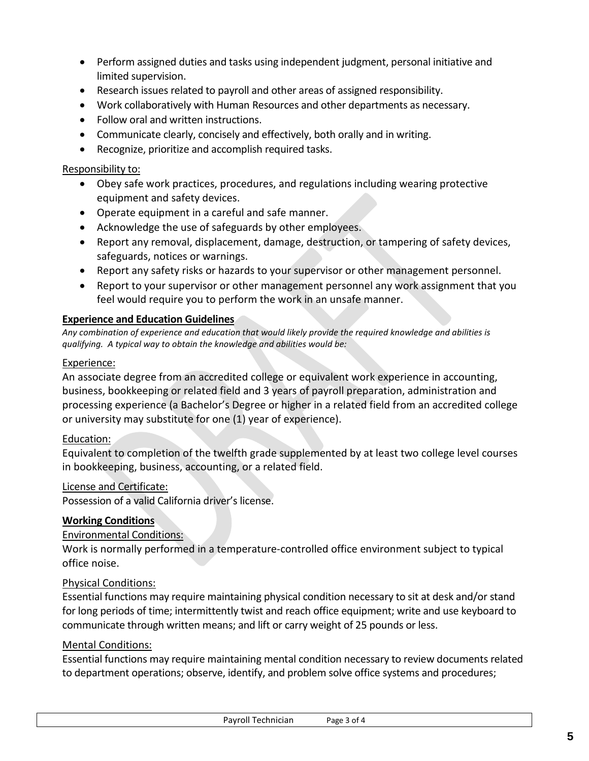- Perform assigned duties and tasks using independent judgment, personal initiative and limited supervision.
- Research issues related to payroll and other areas of assigned responsibility.
- Work collaboratively with Human Resources and other departments as necessary.
- Follow oral and written instructions.
- Communicate clearly, concisely and effectively, both orally and in writing.
- Recognize, prioritize and accomplish required tasks.

#### Responsibility to:

- Obey safe work practices, procedures, and regulations including wearing protective equipment and safety devices.
- Operate equipment in a careful and safe manner.
- Acknowledge the use of safeguards by other employees.
- Report any removal, displacement, damage, destruction, or tampering of safety devices, safeguards, notices or warnings.
- Report any safety risks or hazards to your supervisor or other management personnel.
- Report to your supervisor or other management personnel any work assignment that you feel would require you to perform the work in an unsafe manner.

#### **Experience and Education Guidelines**

*Any combination of experience and education that would likely provide the required knowledge and abilities is qualifying. A typical way to obtain the knowledge and abilities would be:*

#### Experience:

An associate degree from an accredited college or equivalent work experience in accounting, business, bookkeeping or related field and 3 years of payroll preparation, administration and processing experience (a Bachelor's Degree or higher in a related field from an accredited college or university may substitute for one (1) year of experience).

#### Education:

Equivalent to completion of the twelfth grade supplemented by at least two college level courses in bookkeeping, business, accounting, or a related field.

#### License and Certificate:

Possession of a valid California driver's license.

#### **Working Conditions**

#### Environmental Conditions:

Work is normally performed in a temperature-controlled office environment subject to typical office noise.

#### Physical Conditions:

Essential functions may require maintaining physical condition necessary to sit at desk and/or stand for long periods of time; intermittently twist and reach office equipment; write and use keyboard to communicate through written means; and lift or carry weight of 25 pounds or less.

#### Mental Conditions:

Essential functions may require maintaining mental condition necessary to review documents related to department operations; observe, identify, and problem solve office systems and procedures;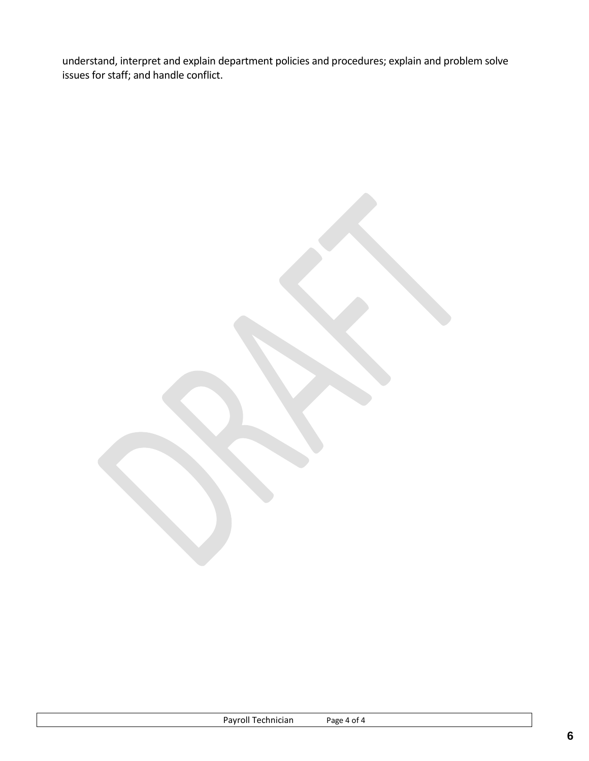understand, interpret and explain department policies and procedures; explain and problem solve issues for staff; and handle conflict.